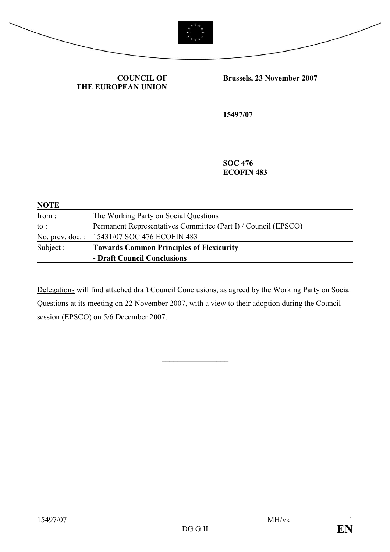



COUNCIL OF THE EUROPEAN UNION Brussels, 23 November 2007

15497/07

SOC 476 ECOFIN 483

| <b>NOTE</b> |                                                                |
|-------------|----------------------------------------------------------------|
| from:       | The Working Party on Social Questions                          |
| to :        | Permanent Representatives Committee (Part I) / Council (EPSCO) |
|             | No. prev. doc.: 15431/07 SOC 476 ECOFIN 483                    |
| Subject :   | <b>Towards Common Principles of Flexicurity</b>                |
|             | - Draft Council Conclusions                                    |

Delegations will find attached draft Council Conclusions, as agreed by the Working Party on Social Questions at its meeting on 22 November 2007, with a view to their adoption during the Council session (EPSCO) on 5/6 December 2007.

 $\frac{1}{2}$  ,  $\frac{1}{2}$  ,  $\frac{1}{2}$  ,  $\frac{1}{2}$  ,  $\frac{1}{2}$  ,  $\frac{1}{2}$  ,  $\frac{1}{2}$  ,  $\frac{1}{2}$  ,  $\frac{1}{2}$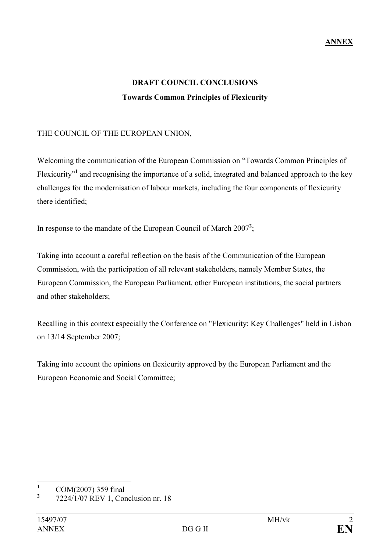# DRAFT COUNCIL CONCLUSIONS Towards Common Principles of Flexicurity

### THE COUNCIL OF THE EUROPEAN UNION,

Welcoming the communication of the European Commission on "Towards Common Principles of Flexicurity"<sup>1</sup> and recognising the importance of a solid, integrated and balanced approach to the key challenges for the modernisation of labour markets, including the four components of flexicurity there identified;

In response to the mandate of the European Council of March  $2007^2$ ;

Taking into account a careful reflection on the basis of the Communication of the European Commission, with the participation of all relevant stakeholders, namely Member States, the European Commission, the European Parliament, other European institutions, the social partners and other stakeholders;

Recalling in this context especially the Conference on "Flexicurity: Key Challenges" held in Lisbon on 13/14 September 2007;

Taking into account the opinions on flexicurity approved by the European Parliament and the European Economic and Social Committee;

 $\frac{1}{1}$ COM(2007) 359 final

<sup>2</sup> 7224/1/07 REV 1, Conclusion nr. 18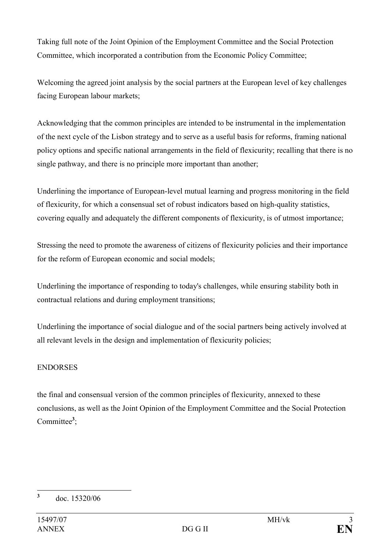Taking full note of the Joint Opinion of the Employment Committee and the Social Protection Committee, which incorporated a contribution from the Economic Policy Committee;

Welcoming the agreed joint analysis by the social partners at the European level of key challenges facing European labour markets;

Acknowledging that the common principles are intended to be instrumental in the implementation of the next cycle of the Lisbon strategy and to serve as a useful basis for reforms, framing national policy options and specific national arrangements in the field of flexicurity; recalling that there is no single pathway, and there is no principle more important than another;

Underlining the importance of European-level mutual learning and progress monitoring in the field of flexicurity, for which a consensual set of robust indicators based on high-quality statistics, covering equally and adequately the different components of flexicurity, is of utmost importance;

Stressing the need to promote the awareness of citizens of flexicurity policies and their importance for the reform of European economic and social models;

Underlining the importance of responding to today's challenges, while ensuring stability both in contractual relations and during employment transitions;

Underlining the importance of social dialogue and of the social partners being actively involved at all relevant levels in the design and implementation of flexicurity policies;

## ENDORSES

the final and consensual version of the common principles of flexicurity, annexed to these conclusions, as well as the Joint Opinion of the Employment Committee and the Social Protection Committee<sup>3</sup>;

 $\frac{1}{3}$ doc. 15320/06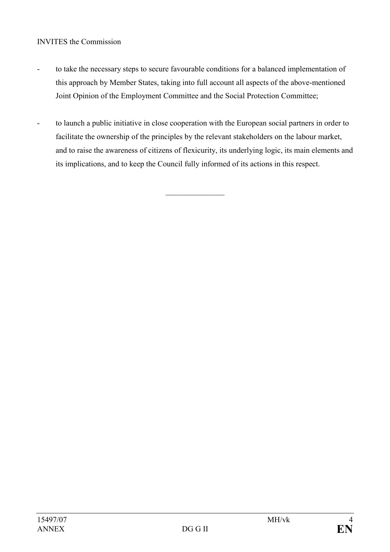#### INVITES the Commission

- to take the necessary steps to secure favourable conditions for a balanced implementation of this approach by Member States, taking into full account all aspects of the above-mentioned Joint Opinion of the Employment Committee and the Social Protection Committee;
- to launch a public initiative in close cooperation with the European social partners in order to facilitate the ownership of the principles by the relevant stakeholders on the labour market, and to raise the awareness of citizens of flexicurity, its underlying logic, its main elements and its implications, and to keep the Council fully informed of its actions in this respect.

 $\mathcal{L}$  , we have the set of the set of the set of the set of the set of the set of the set of the set of the set of the set of the set of the set of the set of the set of the set of the set of the set of the set of the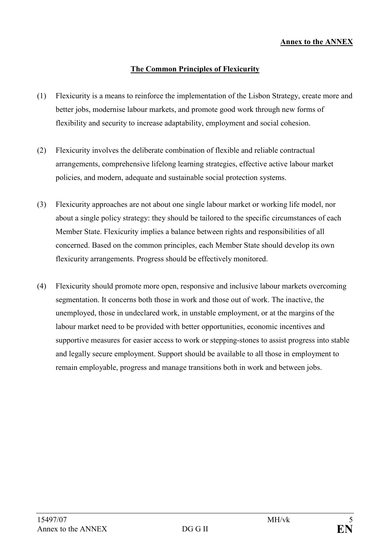#### Annex to the ANNEX

#### The Common Principles of Flexicurity

- (1) Flexicurity is a means to reinforce the implementation of the Lisbon Strategy, create more and better jobs, modernise labour markets, and promote good work through new forms of flexibility and security to increase adaptability, employment and social cohesion.
- (2) Flexicurity involves the deliberate combination of flexible and reliable contractual arrangements, comprehensive lifelong learning strategies, effective active labour market policies, and modern, adequate and sustainable social protection systems.
- (3) Flexicurity approaches are not about one single labour market or working life model, nor about a single policy strategy: they should be tailored to the specific circumstances of each Member State. Flexicurity implies a balance between rights and responsibilities of all concerned. Based on the common principles, each Member State should develop its own flexicurity arrangements. Progress should be effectively monitored.
- (4) Flexicurity should promote more open, responsive and inclusive labour markets overcoming segmentation. It concerns both those in work and those out of work. The inactive, the unemployed, those in undeclared work, in unstable employment, or at the margins of the labour market need to be provided with better opportunities, economic incentives and supportive measures for easier access to work or stepping-stones to assist progress into stable and legally secure employment. Support should be available to all those in employment to remain employable, progress and manage transitions both in work and between jobs.